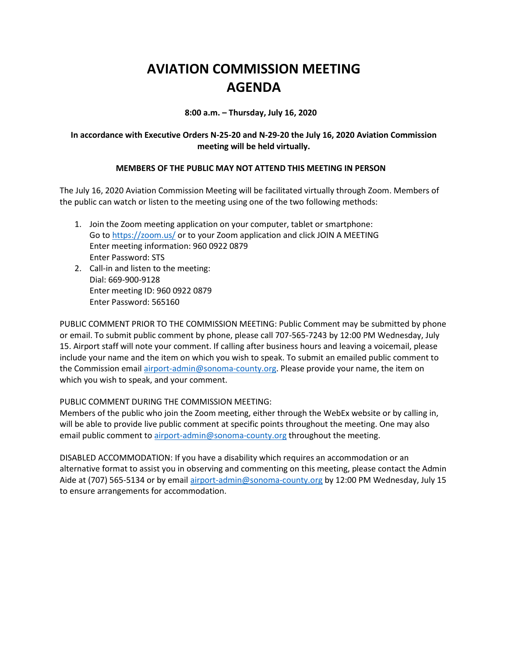# **AVIATION COMMISSION MEETING AGENDA**

**8:00 a.m. – Thursday, July 16, 2020**

## **In accordance with Executive Orders N-25-20 and N-29-20 the July 16, 2020 Aviation Commission meeting will be held virtually.**

## **MEMBERS OF THE PUBLIC MAY NOT ATTEND THIS MEETING IN PERSON**

The July 16, 2020 Aviation Commission Meeting will be facilitated virtually through Zoom. Members of the public can watch or listen to the meeting using one of the two following methods:

- 1. Join the Zoom meeting application on your computer, tablet or smartphone: Go to https://zoom.us/ or to your Zoom application and click JOIN A MEETING Enter meeting information: 960 0922 0879 Enter Password: STS
- 2. Call-in and listen to the meeting: Dial: 669-900-9128 Enter meeting ID: 960 0922 0879 Enter Password: 565160

PUBLIC COMMENT PRIOR TO THE COMMISSION MEETING: Public Comment may be submitted by phone or email. To submit public comment by phone, please call 707-565-7243 by 12:00 PM Wednesday, July 15. Airport staff will note your comment. If calling after business hours and leaving a voicemail, please include your name and the item on which you wish to speak. To submit an emailed public comment to the Commission email airport-admin@sonoma-county.org. Please provide your name, the item on which you wish to speak, and your comment.

#### PUBLIC COMMENT DURING THE COMMISSION MEETING:

Members of the public who join the Zoom meeting, either through the WebEx website or by calling in, will be able to provide live public comment at specific points throughout the meeting. One may also email public comment to airport-admin@sonoma-county.org throughout the meeting.

DISABLED ACCOMMODATION: If you have a disability which requires an accommodation or an alternative format to assist you in observing and commenting on this meeting, please contact the Admin Aide at (707) 565-5134 or by email airport-admin@sonoma-county.org by 12:00 PM Wednesday, July 15 to ensure arrangements for accommodation.